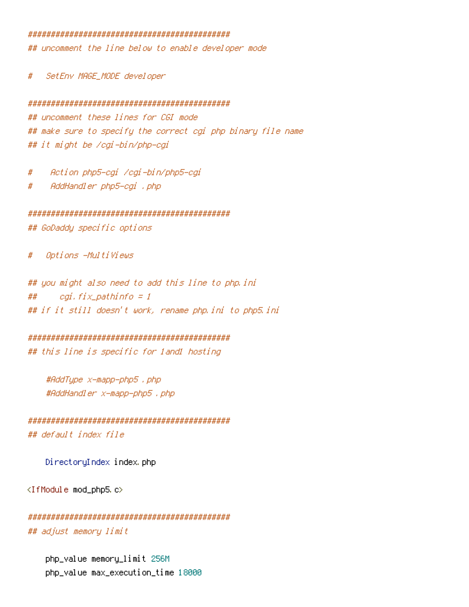## 

## uncomment the line below to enable developer mode

SetEnv MAGE\_MODE developer #

## 

## uncomment these lines for CGI mode ## make sure to specify the correct cgi php binary file name ## it might be /cgi-bin/php-cgi

Action php5-egi /egi-bin/php5-egi  $#$ 

AddHandler php5-cgi , php  $#$ 

## 

## GoDaddy specific options

Options -MultiViews Ħ

## you might also need to add this line to php.ini ## cgi, fix\_pathinfo = 1 ## if it still doesn't work, rename php.ini to php5.ini

## 

## this line is specific for land1 hosting

#AddType x-mapp-php5 . php #AddHandler x-mapp-php5 , php

## 

## default index file

DirectoryIndex index.php

<IfModule mod\_php5.c>

```
## adjust memory limit
```
php\_value memory\_limit 256M php\_value max\_execution\_time 18000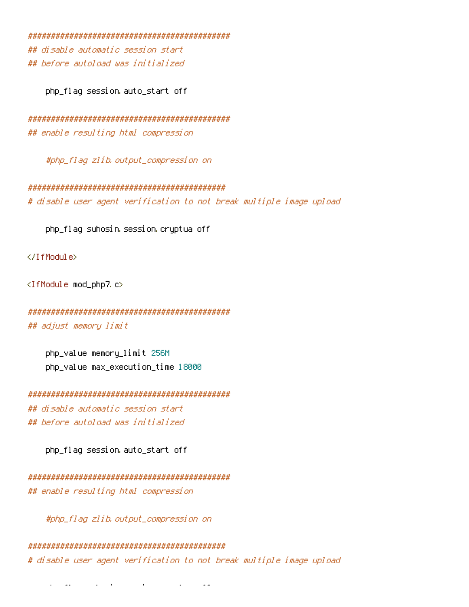## disable automatic session start ## before autoload was initialized

php\_flag session auto\_start off

## enable resulting html compression

#php\_flag\_zlib.output\_compression\_on

# disable user agent verification to not break multiple image upload

php\_flaq suhosin session cryptua off

</IfModule>

<IfModule mod\_php7.c>

## adjust memory limit

php\_value memory\_limit 256M php\_value max\_execution\_time 18000

## disable automatic session start ## before autoload was initialized

php\_flag session auto\_start off

## enable resulting html compression

#php\_flag\_zlib.output\_compression\_on

# disable user agent verification to not break multiple image upload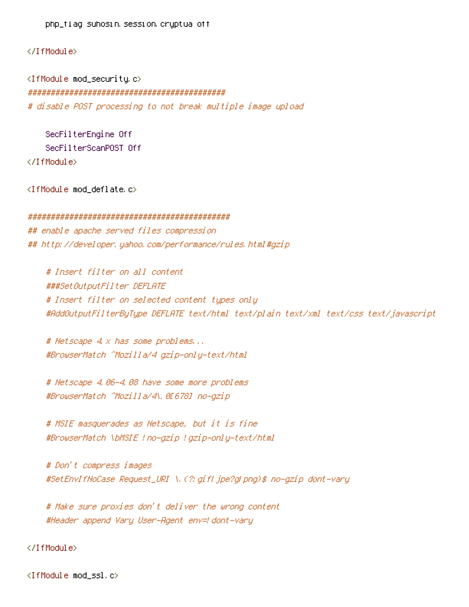php\_flag suhosin.session.cryptua off

## </IfModule>

<IfModule mod\_security.c> ########################################### # disable POST processing to not break multiple image upload

SecFilterEngine Off SecFilterScanPOST Off </IfModule>

<IfModule mod\_deflate.c>

#### ############################################

## enable apache served files compression ## http://developer.yahoo.com/performance/rules.html#gzip

# Insert filter on all content ###SetOutputFilter DEFLATE # Insert filter on selected content types only #AddOutputFilterByType DEFLATE text/html text/plain text/xml text/css text/javascript

# Netscape 4.x has some problems... #BrowserMatch ^Mozilla/4 gzip-only-text/html

# Netscape 4.06-4.08 have some more problems #BrowserMatch ^Mozilla/4\.0[678] no-gzip

# MSIE masquerades as Netscape, but it is fine #BrowserMatch \bMSIE !no-gzip !gzip-only-text/html

# Don't compress images #SetEnvIfNoCase Request\_URI \.(?:gif|jpe?g|png)\$ no-gzip dont-vary

# Make sure proxies don't deliver the wrong content #Header append Vary User-Agent env=!dont-vary

## </IfModule>

<IfModule mod\_ssl.c>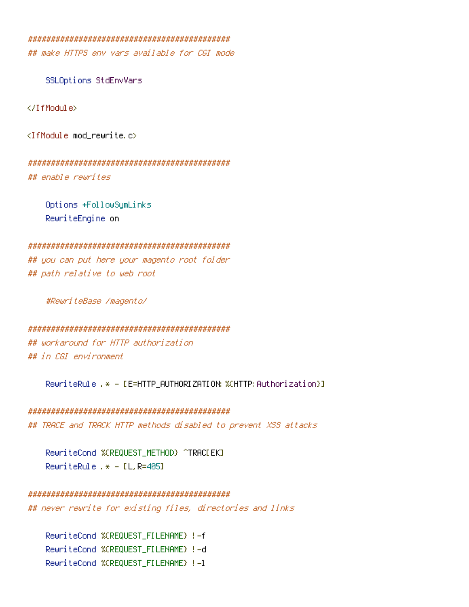## make HITPS env vars available for CGI mode

SSLOptions StdEnvVars

</TfModule>

<IfModule mod\_rewrite.c>

## enable rewrites

Options +FollowSymLinks RewriteEngine on

## you can put here your magento root folder ## path relative to web root

#ReuriteBase /magento/

## workaround for HTTP authorization ## in CGI environment

RewriteRule .\* - [E=HTTP\_AUTHORIZATION: %(HTTP: Authorization)]

## TRACE and TRACK HTTP methods disabled to prevent XSS attacks

RewriteCond %(REQUEST METHOD) ^TRACEEKI RewriteRule  $.* - IL$ , R=405]

# 

## never rewrite for existing files, directories and links

RewriteCond %(REQUEST\_FILENAME) !- f RewriteCond %(REQUEST\_FILENAME) !- d RewriteCond %(REQUEST\_FILENAME) !- 1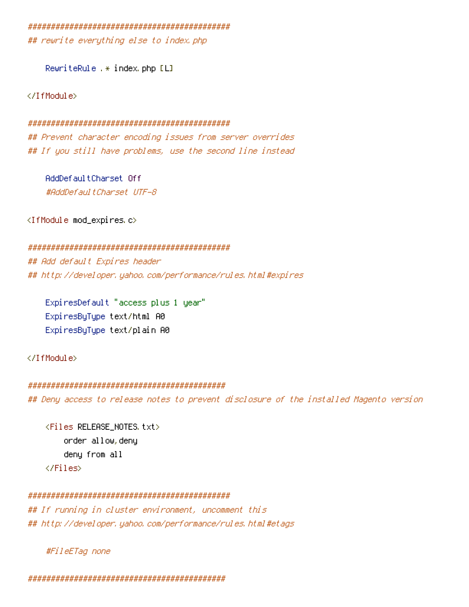## rewrite everything else to index.php

RewriteRule .\* index php [L]

</IfModule>

### 

## Prevent character encoding issues from server overrides ## If you still have problems, use the second line instead

AddDefaultCharset Off #AddDefaultCharset UTF-8

<IfModule mod\_expires.c>

## 

## Add default Expires header ## http://developer.yahoo.com/performance/rules.html#expires

ExpiresDefault "access plus 1 year" ExpiresByType text/html A0 ExpiresByType text/plain A0

</IfModule>

## 

## Deny access to release notes to prevent disclosure of the installed Magento version

<Files RELEASE\_NOTES txt> order allow, deny deny from all  $\langle$ /Files>

## 

## If running in cluster environment, uncomment this ## http://developer.yahoo.com/performance/rules.html#etaqs

#FileETag none